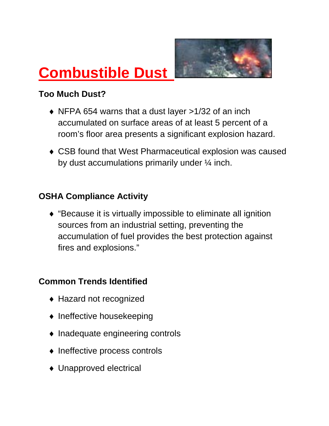

# **Combustible Dust**

## **Too Much Dust?**

- ♦ NFPA 654 warns that a dust layer >1/32 of an inch accumulated on surface areas of at least 5 percent of a room's floor area presents a significant explosion hazard.
- ♦ CSB found that West Pharmaceutical explosion was caused by dust accumulations primarily under ¼ inch.

#### **OSHA Compliance Activity**

♦ "Because it is virtually impossible to eliminate all ignition sources from an industrial setting, preventing the accumulation of fuel provides the best protection against fires and explosions."

# **Common Trends Identified**

- ◆ Hazard not recognized
- ♦ Ineffective housekeeping
- ♦ Inadequate engineering controls
- ♦ Ineffective process controls
- ♦ Unapproved electrical